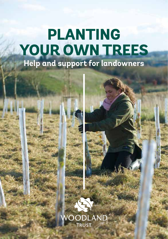# **PLANTING YOUR OWN TREES Help and support for landowners**



**/OODLAND** TRUST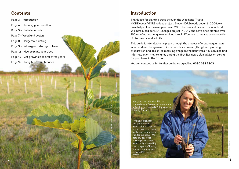## **Contents**

Page 3 – Introduction

- Page 4 Planning your woodland
- Page 5 Useful contacts
- Page 7 Woodland design
- Page 8 Hedgerow planting
- Page 9 Delivery and storage of trees
- Page 12 How to plant your trees
- Page 14 Get growing: the first three years
- Page 16 Long-term maintenance

# **Introduction**

Thank you for planting trees through the Woodland Trust's MOREwoods/MOREhedges project. Since MOREwoods began in 2008, we have helped landowners plant over 2000 hectares of new native woodland. We introduced our MOREhedges project in 2014 and have since planted over 160km of native hedgerow, making a real difference to landscapes across the UK for people and wildlife.

This guide is intended to help you through the process of creating your own woodland and hedgerows. It includes advice on everything from planning, preparation and design, to receiving and planting your trees. You can also find information on maintenance during the first five years plus advice on caring for your trees in the future.

You can contact us for further guidance by calling **0330 333 5303**.

Margaret and Maurice Phillips planted over 400 trees at their home in Dunloy, just outside Ballymena, in County Antrim.

"We have plans for the years ahead: we're going to coppice some trees to produce sustainable supplies of fuel for our stove. We actually sell woodburning stoves and we're really excited by the prospect of having our own home-grown firewood." Margaret **Phillips** 

Hazel sapling photographed at a MOREwoods site in 2011. WTPL/Emma Mayo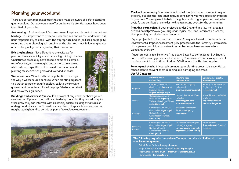# **Planning your woodland**

There are certain responsibilities that you must be aware of before planting your woodland. Our advisers can offer guidance if potential issues have been identified at your site:

**Archaeology:** Archaeological features are an irreplaceable part of our cultural heritage. It is important to preserve such features and as the landowner, it is your responsibility to check with the appropriate bodies (as listed on page 5), regarding any archaeological remains on the site. You must follow any advice or statutory obligations regarding their protection.

**Existing habitats:** Not all locations are suitable for planting trees, especially when there is high biological value. Undisturbed areas may have become home to a complex mix of species, or there may be one or more rare species which rely on a specific habitat. We do not recommend planting on species rich grassland, wetland or heath.

**Water courses:** Woodland has the potential to change the way a water course behaves. When planting adjacent to a water course or on a floodplain, talk to the relevant government department listed on page 5 before you start and follow their guidance.

**Buildings and services:** You should be aware of any under or above ground services and if present, you will need to design your planting accordingly. As trees grow they can interfere with electricity cables, building structures or underground pipes so you'll need to leave plenty of space. In some cases you may be legally bound to do this as part of a wayleave agreement.



**The local community:** Your new woodland will not just make an impact on your property but also the local landscape, so consider how it may affect other people in your area. You may want to talk to neighbours about your planting design to avoid future conflicts or consider holding a planting event for the community.

**Planning permission:** If your project is under 2ha and in a low risk area (as defined on https://www.gov.uk/guidance/use-the-land-information-search) then planning permission is not required.

If your project is in a low risk area and over 2ha you will need to go through the Environmental Impact Assessment (EIA) process with the Forestry Commission https://www.gov.uk/guidance/environmental-impact-assessments-forwoodland-overview

If your project is in a Sensitive Area you will need to complete an EIA Enquiry Form and Screening process with Forestry Commission; this is irrespective of its size except in an National Park or AONB where the 2ha limit applies.

**Fencing and stock:** If livestock are near your planting areas, it is essential to fence them to prevent them reaching and damaging the trees.

#### **Useful Contacts:**

Heath spotted orchids support butterflies and bumblebees.. Check your land is suitable before

planting. WTPL/Richard Becker

|                            | <b>Information on</b><br>archaeology                                                                                    | <b>Planting near</b><br>watercourses                                                                         | <b>Government Forestry</b><br>departments                                                 |
|----------------------------|-------------------------------------------------------------------------------------------------------------------------|--------------------------------------------------------------------------------------------------------------|-------------------------------------------------------------------------------------------|
| England                    | Contact your council or<br>check online: algao.org.uk<br><b>English Heritage</b><br>english-heritage.org.uk             | <b>Environment Agency</b><br>in England.<br>environment.agency.gov.uk                                        | <b>Forestry Commission in</b><br><b>England and Scotland</b><br>forestry.gov.uk           |
| <b>Wales</b>               | Contact your council or<br>check online: algao.org.uk<br><b>Wales Archaeological Trusts</b><br>archwilio.org.uk         | <b>Natural Resources Wales</b><br>in Wales<br>enquiries@naturalre-<br>sourceswales.gov.uk                    | <b>Natural Resources Wales</b><br>in Wales<br>enquiries@naturalre-<br>sourceswales.gov.uk |
| Scotland                   | Contact your council or<br>check online: algao.org.uk<br><b>Historic Scotland</b><br>www.historicenviron-<br>ment.scot/ | <b>Scottish Environment</b><br><b>Protection Agency</b><br>sepa.org.uk                                       |                                                                                           |
| Northern<br><b>Ireland</b> | Contact your council or<br>check online: algao.org.uk<br>Northern Ireland<br><b>Environment Agency</b><br>doeni.gov.uk  | <b>Check with Rivers Agency</b><br>or Loughs Agency<br>infrastructure-ni.gov.uk/<br>topics/riversandflooding | <b>Forest Service</b><br>daera-ni.gov.uk/topics/<br>forestry                              |

**The following organisations also offer expert advice on biodiversity and species management:**

- British Trust for Ornithology **bto.org**
- Royal Society for the Protection of Birds **rspb.org.uk**
- Freshwater Habitats Trust **freshwaterhabitats.org.uk**
- Flora Locale – **floralocale.org**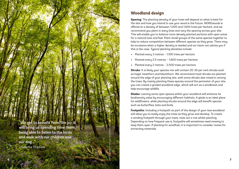

# **Woodland design**

Careful planning can help you create a wood that is both functional and beautiful. WTPL/Judith Parry

**Spacing:** The planting density of your trees will depend on what is best for the site and how you intend to use your wood in the future. MOREwoods is offered at a density of between 1,000 and 1,600 trees per hectare, and we recommend you plant in wavy lines and vary the spacing across your site. This will enable you to balance more densely planted sections with open areas for a natural look and feel. Plant small groups of the same species together to help to reduce competition between different species as they grow. There may be occasions when a higher density is needed and our team can advise you if this is the case. Tupical planting densities include:

- Planted every 3 metres 1,100 trees per hectare
- Planted every 2.5 metres 1,600 trees per hectare
- Planted every 2 metres 2,500 trees per hectare

**Shrubs:** It is likely your species mix will contain 20-30 per cent shrubs such as hazel, hawthorn and blackthorn. We recommend most shrubs are planted around the edge of your planting site, with some shrubs also mixed in among the trees. By mainly planting these species around the perimeter of your site, you can create a graded woodland edge, which will act as a windbreak and help encourage wildlife.

**Glades:** Leaving some open spaces within your woodland will enhance its biodiversity value by encouraging different habitats. A glade is an ideal place for wildflowers, while planting shrubs around the edge will benefit species such as butterflies, bats and birds.

**Footpaths:** Including a footpath as part of the design of your new woodland will allow you to easily enjoy the trees as they grow and develop. To create a winding footpath through your trees, miss out a row whilst planting. Depending on how frequent use is, footpaths will sometimes need mowing to keep them open. If planting for woodfuel, it is important to consider routes for extracting materials.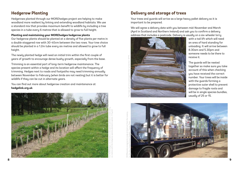### **Hedgerow Planting**

Hedgerows planted through our MOREhedges project are helping to make woodland more resilient by linking and extending woodland habitats. We use a standard mix that provides maximum benefit to wildlife by including a tree species in a tube every 6 metres that is allowed to grow to full height.

#### **Planting and maintaining your MOREhedges hedgerow plants**

Our hedgerow plants should be planted at a density of five plants per metre in a double staggered row with 30-40cm between the two rows. Your tree choice should be planted in a 1.2m tube every six metres and allowed to grow to full height.

The newly planted hedge will need an initial trim within the first couple of years of growth to encourage dense bushy growth, especially from the base.

Trimming is an essential part of long-term hedgerow maintenance. The species present within a hedge and its location will affect the frequency of trimming. Hedges next to roads and footpaths may need trimming annually between November to February (when birds are not nesting) but it is better for wildlife if they can be cut in alternate years.

You can find out more about hedgerow creation and maintenance at **hedgelink.org.uk**



### **Delivery and storage of trees**

Your trees and guards will arrive as a large heavy pallet delivery so it is important to be prepared.

We will agree a delivery date with you between mid-November and March (April in Scotland and Northern Ireland) and ask you to confirm a delivery address that includes a postcode. Delivery is usually on a six-wheeler lorry



with a tail lift which will need an area of hard standing for unloading. It will arrive between 8.30am and 5.30pm and someone needs to be there to receive it.

The guards will be nested together so make sure you take account of this when checking uou have received the correct number. Your trees will be inside with the guards forming a protective outer shell to prevent damage to fragile roots and will be in single species bundles, usually of 25 or 15.

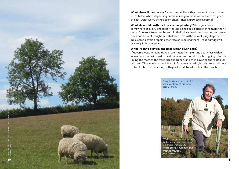

**What size will the trees be?** Your trees will be either bare root or cell grown 20 to 60cm whips depending on the nursery we have worked with for your project. Don't worry if they seem small - they'll grow lots in spring!

**What should I do with the trees before planting?** Store your trees somewhere cool, dry and frost-free like a shed or a garage for no more than 7 days. Bare root trees can be kept in their black lined tree bags and cell grown trees can be kept upright in a sheltered area with the root plugs kept moist. Take care to avoid dropping the trees or knocking them – root damage will severely limit tree growth.

#### **What if I can't plant all the trees within seven days?**

If adverse weather conditions prevent you from planting your trees within seven days, you will need to heel them in. You can do this by digging a trench, laying the roots of the trees into the trench, and then covering the roots over with soil. They can be stored like this for a few months, but the trees will need to be planted before spring or they will start to set roots in the trench.

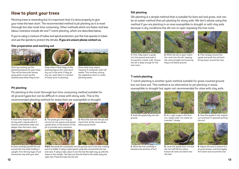### **How to plant your trees**

Planting trees is rewarding but it's important that it's done properly to give your trees the best start. The recommended method is pit planting as it is most thorough but also most time consuming. Other methods which are faster and less labour intensive include slit and T-notch planting, which are described below.

If you're using a mixture of tubes and spiral protection, put the tree species in tubes and use the spirals to protect the shrubs. **If you are unsure please contact us.**

#### **Site preparation and marking out**





Start by marking out the planting positions for your trees. This can be done with stones, spray paint or just use the stakes/canes when they arrive.

Keep trees in their bags on the planting day so the roots don't dry out in the wind. If they do dry out, soak them in a bucket



Some sites may require 'topping' if overgrown with tall weeds. This involves cutting the vegetation short to make planting easier.

#### **Pit planting**

Pit planting is the most thorough but time consuming method suitable for all ground types but can be difficult in areas with stony soils. This is the recommended planting method for areas that are susceptible to drought.

of water prior to planting.



**1.** Each tree requires a pit to be dug with a spade which is several centimetres wider and deeper than the tree's roots.



**4.** Now carefully backfill the soil around the tree while holding it upright. Firm the top layer of soil around the tree with your heel.



**2.** The grass you have dug up can be cut into pieces and placed upside down in the bottom of the **3.** Place the tree into the pit and check that all the roots will be below ground level.



pit to provide extra nutrients.

**5 & 6.** Now push the cane/stake into the ground next to the tree, making sure it is stable. If using a spiral guard, wrap this around both the tree and cane. If using a tube, place it over the tree the right way up with the stake on the outside. The tube can then be fixed to the stake using the nylon ties. Press the tube into the soil.

#### **Slit planting**

Slit planting is a simple method that is suitable for bare soil and grass, and can be an easier method than pit planting for stony soils. We don't advise using this method if you are planting in an area susceptible to drought or with clay soils because in dry conditions the slit can re-open exposing the tree roots.







**1.** First, fully insert a spade into the ground and push it forwards to create a slit. Ensure the slit is deep enough for the tree roots.

**2.** When the slit is open, insert the roots into the slit, keeping the roots straight and ensuring they're all below ground.

**3.** Then simply remove the spade and push the soil back firmly down around the tree.

#### **T-notch planting**

T-notch planting is another quick method suitable for grass covered ground but not bare soil. This method is an alternative to pit planting in areas susceptible to drought but again not recommended for sites with clay soils.



**1.** Push the spade fully into the ground.



**4.** Place the tree carefully in between the sections of turf.



cut, repeat step 1 to create an inverted T-shape.



**5.** Lever the spade back out and the turf will fall into place. Ensure all roots are taken into the hole.



**3.** Take the spade to the original cut and lever it upwards parting the turf.



**6.** Adjust the tree to ensure it is at ground level, and thoroughly firm down soil around the tree.

**12**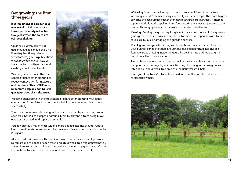### **Get growing: the first three years**

**It is important to care for your new wood to help your trees thrive, particularly in the first few years when the trees are still establishing**.

Guidance is given below, but you should also consult the UK's Forestry Practice guides at: www.forestry.gov.uk/publications which provides an overview of the expected quality of new and existing woodland in the UK.

Weeding is essential in the first couple of years after planting to reduce competition for moisture and nutrients. **This is THE most important step you can take to give your trees the right start**.



Weeding each spring in the first couple of years after planting will reduce competition for moisture and nutrients, helping your trees establish more successfully.

You can supress weeds by using mulch, such as bark chips or straw, around each tree. Spread to a depth of around 10cm to prevent it from being blown away or dispersed, and top it up annually.

You can also buy mulch mats which can be pegged into the ground. Aim to keep a 1m diameter area around the tree clear of weeds and grass for the first 2-3 years.

Alternatively, kill weeds with chemical-based products such as glyphosate. Spray around the base of each tree to create a weed-free ring approximately 1m in diameter. As with all pesticides, take care when applying, be careful not to touch the tree with the chemical and read instructions carefully.

**Watering:** Your trees will adapt to the natural conditions of your site so watering shouldn't be necessary; especially as it encourages the roots to grow towards the soil surface rather than down towards groundwater. If there is a particularly long dry spell and you feel watering is necessary, saturate the ground thoroughly to ensure the water soaks deep into the soil.

**Mowing:** Cutting the grass regularly is not advised as it actually invigorates grass growth and increases competition for moisture. If you do want to mow, take care to avoid damaging the guards and trees.

**Check your tree guards:** Strong winds can blow trees over so make sure your guards, canes or stakes are upright and pushed firmly into the soil. Remove grass growing inside the guard by pulling it up and replacing the guard once the grass is cleared.

**Pests:** Pests can also cause damage inside the tube – check the tree stems and guards for damage by animals. Keeping the tree guards firmly pressed into the soil and a weed-free area around your trees will help.

**Keep your tree tubes:** If trees have died, remove the guards and store for re-use next winter.

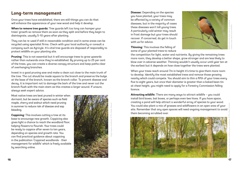# **Long-term management**

Once your trees have established, there are still things you can do that will enhance the appearance of your new wood and help it develop.

**When to remove tree guards:** Tree guards left too long can hamper your trees' growth so remove them as soon as they split and before they begin to disintegrate, usually 5-10 years after planting.

They can be re-used if still in reasonable condition and in some areas can be recycled using specialist firms. Check with your local authority or consult a company such as Agricyle. It's vital tree guards are disposed of responsibly to protect wildlife on your planting site.

**Pruning:** This is not essential but it will encourage trees to grow upwards rather than outwards once they're established. By pruning up to 25 per cent of the trees, you can create a diverse canopy structure and keep paths clear of overhanging branches.

Invest in a good pruning saw and make a clean cut close to the main trunk of the tree. The cut should be made square to the branch and preserve the bulge at the base of the branch, known as the branch collar. To prevent disease and decay, it is important not to damage the bark of the tree and never cut the branch flush with the main stem as this creates a larger wound. If unsure, always seek expert advice.

Most native trees are best pruned in winter when dormant, but be aware of species such as field maple, cherry and walnut which need pruning in summer to reduce risk of disease and sap bleeding.

**Coppicing:** This involves cutting a tree at its base to encourage new growth. Coppicing also gives light a chance to reach the woodland floor, helping flowers to flourish. Your trees could be ready to coppice after seven to ten years, depending on species and growth rate. You can find practical guidance about coppicing in the publication 'Coppiced woodlands - their management for wildlife' which is freely available by searching online.



Hazel coppice woodland. WTPL/Robin Weaver

**Disease:** Depending on the species you have planted, your trees may be affected by a variety of common diseases, but in the majority of cases these diseases won't kill young trees. A particularly cold winter may result in frost damage but your trees should recover. If concerned, do get in touch with us for advice.



**Thinning:** This involves the felling of some of your planted trees to reduce

the competition for light, water and nutrients. By giving the remaining trees more room, they develop a better shape, grow stronger and are less likely to blow over in adverse weather. Thinning wouldn't usually occur until year ten at the earliest but it depends on how close together the trees were planted.

When your trees reach around 7m in height it's time to give them more room to develop. Identify the most established trees and remove those growing nearby which could compete. You should aim to thin a fifth of your trees every five to eight years, but once their diameter is greater than a baked bean tin at chest height, you might need to apply for a Forestry Commission felling licence.

**Attracting wildlife:** There are many ways to attract wildlife – you could install bird boxes, bat boxes, or perhaps even bee hives. If you have space, creating a pond will help attract a wonderful array of species to your wood. You could also plant a mix of grasses and wildflowers in an open area of your site. Remember that any open spaces will need ongoing management to avoid them becoming scrubbed over.



creation sites. North East Wildlife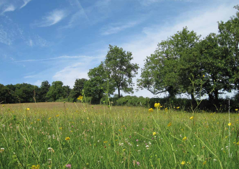